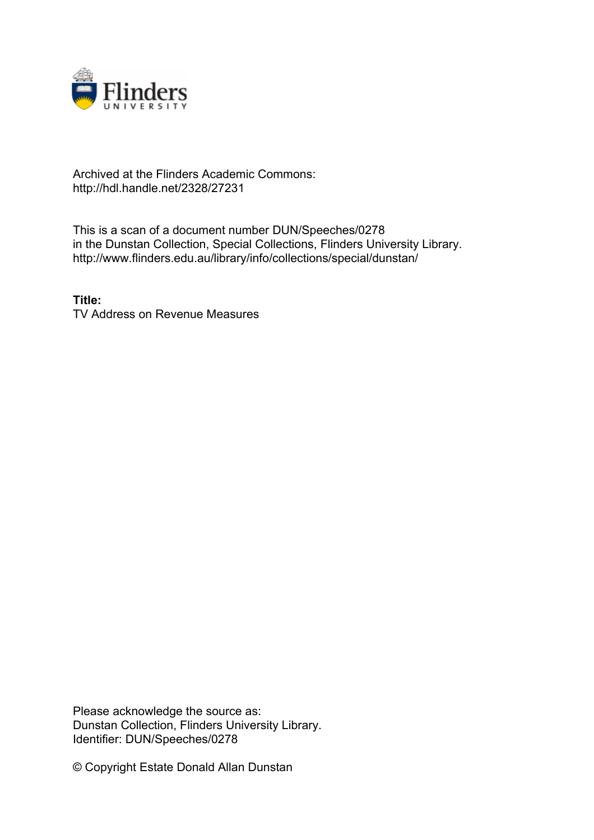

## Archived at the Flinders Academic Commons: http://hdl.handle.net/2328/27231

This is a scan of a document number DUN/Speeches/0278 in the Dunstan Collection, Special Collections, Flinders University Library. http://www.flinders.edu.au/library/info/collections/special/dunstan/

**Title:** TV Address on Revenue Measures

Please acknowledge the source as: Dunstan Collection, Flinders University Library. Identifier: DUN/Speeches/0278

© Copyright Estate Donald Allan Dunstan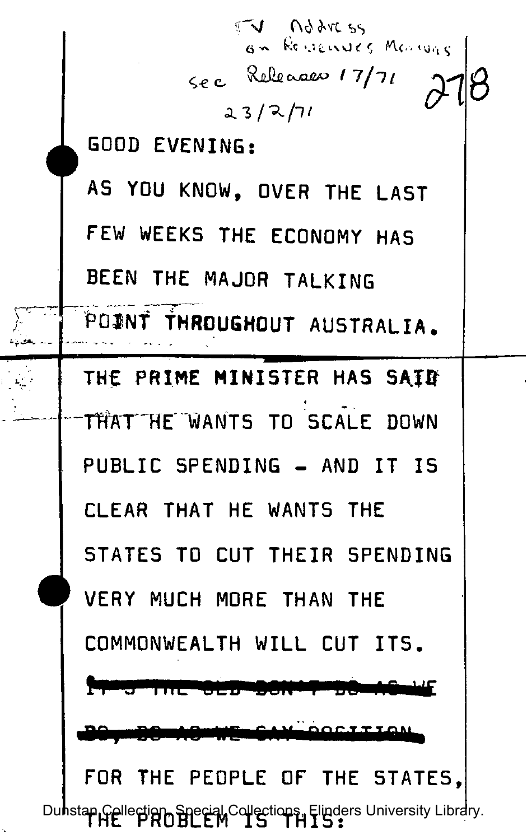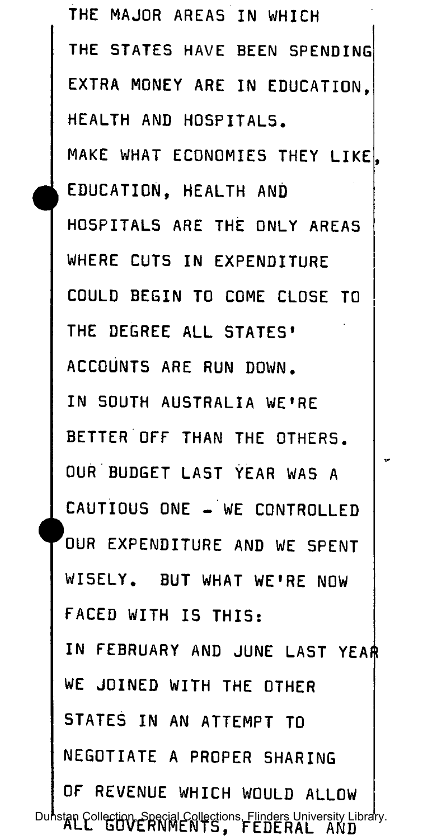**THE MAJOR AREAS IN WHICH**  THE STATES HAVE BEEN SPENDING **EXTRA MONEY ARE IN EDUCATION, HEALTH AND HOSPITALS.**  MAKE WHAT ECONOMIES THEY LIKE<sup>1</sup>. **EDUCATION, HEALTH AND HOSPITALS ARE THE ONLY AREAS WHERE CUTS IN EXPENDITURE COULD BEGIN TO COME CLOSE TO THE DEGREE ALL STATES ' ACCOUNTS ARE RUN DOWN. IN SOUTH AUSTRALIA WE'RE BETTER OFF THAN THE OTHERS. OUR BUDGET LAST YEAR WAS A CAUTIOUS ONE - WE CONTROLLED 'oUR EXPENDITURE AND WE SPENT WISELY. BUT WHAT WE'RE NOW FACED WITH IS THIS : IN FEBRUARY AND JUNE LAST YEAR WE JOINED WITH THE OTHER STATES IN AN ATTEMPT TO NEGOTIATE A PROPER SHARING OF REVENUE WHICH WOULD ALLOW**  Dunstan Collection, Special Collections, Flinders University Library.<br>**ALL GUVERNMENTS, FEDERAL AND**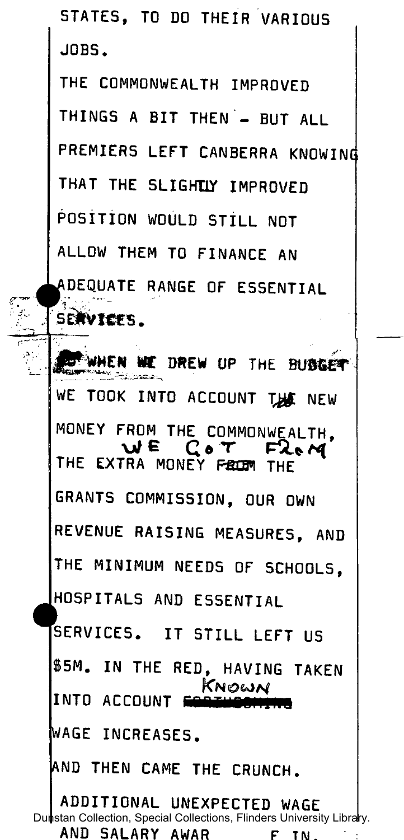**STATES , TO DO THEIR VARIOUS JOBS .** 

**THE COMMONWEALTH IMPROVED THINGS A BIT THEN - BUT ALL PREMIERS LEFT CANBERRA KNOWING** THAT THE SLIGHTLY IMPROVED **POSITION WOULD STILL NOT ALLOW THEM TO FINANCE AN ^DEQUATE RANGE OF ESSENTIAL SE\*V!C£ 5 .** 

**Julien WE DREW UP THE BUBGET** WE TOOK INTO ACCOUNT THE NEW **MONEY FROM THE COMMONWEALTH, WE COT** THE EXTRA MONEY FROM THE **GRANTS COMMISSION, OUR OWN REVENUE RAISING MEASURES, AND THE MINIMUM NEEDS OF SCHOOLS, HOSPITALS AND ESSENTIAL SERVICES . IT STIL L LEF T US S5M. IN THE RED, HAVING TAKEN**  KNOWN **INTO ACCOUNT WAGE INCREASES. AND THEN CAME THE CRUNCH. ADDITIONAL UNEXPECTED WAGE** 

**AND SALARY AWAR FIN.** Dunstan Collection, Special Collections, Flinders University Library.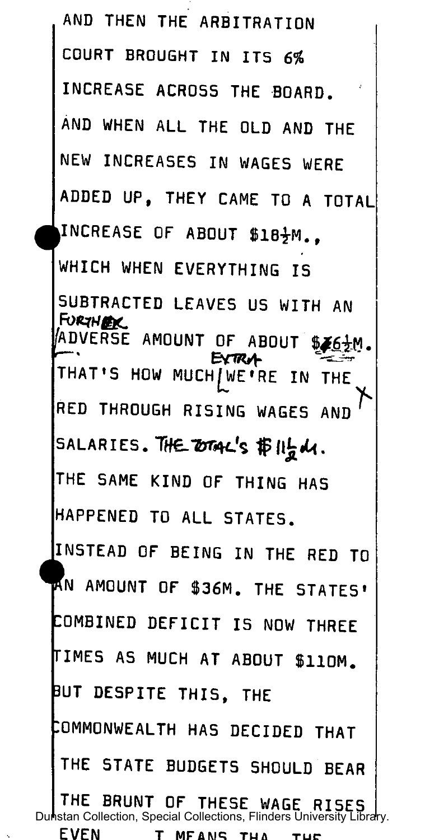AND THEN THE ARBITRATION COURT BROUGHT IN ITS 6% INCREASE ACROSS THE BOARD. AND WHEN ALL THE OLD AND THE NEW INCREASES IN WAGES WERE ADDED UP. THEY CAME TO A TOTAL INCREASE OF ABOUT \$18}M.. WHICH WHEN EVERYTHING IS SUBTRACTED LEAVES US WITH AN **FURTHER** ADVERSE AMOUNT OF ABOUT \$*46.*2M. EXTRA THAT'S HOW MUCH/WE'RE IN THE RED THROUGH RISING WAGES AND SALARIES. THE DTAL'S #11点d1. THE SAME KIND OF THING HAS HAPPENED TO ALL STATES. INSTEAD OF BEING IN THE RED TO AN AMOUNT OF \$36M. THE STATES' COMBINED DEFICIT IS NOW THREE **TIMES AS MUCH AT ABOUT \$110M.** BUT DESPITE THIS, THE COMMONWEALTH HAS DECIDED THAT THE STATE BUDGETS SHOULD BEAR THE BRUNT OF THESE WAGE RISES |<br>Dunstan Collection, Special Collections, Flinders University Library. **EVEN** 

T MFANS THA THE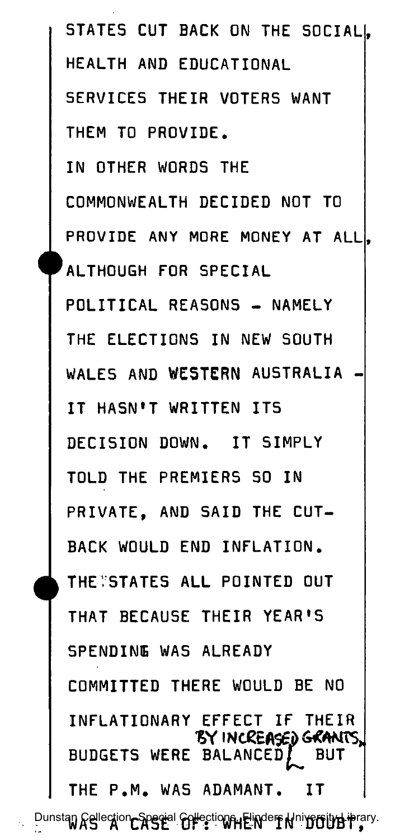**STATES CUT BACK ON THE SOCIAL|. HEALTH AND EDUCATIONAL SERVICES THEIR VOTERS WANT THEM TO PROVIDE. IN OTHER WORDS THE COMMONWEALTH DECIDED NOT TO**  PROVIDE ANY MORE MONEY AT ALL|. **'ALTHOUGH FOR SPECIAL POLITICAL REASONS - NAMELY THE ELECTIONS IN NEW SOUTH**  WALES AND WESTERN AUSTRALIA **IT HASN'T WRITTEN ITS DECISION DOWN. IT SIMPLY TOLD THE PREMIERS SO IN PRIVATE, AND SAID THE CUT-BACK WOULD END INFLATION . THETSTATES AL L POINTED OUT THAT BECAUSE THEIR YEAR'S SPENDING WAS ALREADY COMMITTED THERE WOULD BE NO INFLATIONARY EFFECT IF THEIR "&Y I NtCtA\$£d GRANTS, BUDGETS WERE BALANCEDf BUT THE P.M . WAS ADAMANT. IT** 

**Dunstan Cellection, Special Collections, Flinders Wniversity Library.**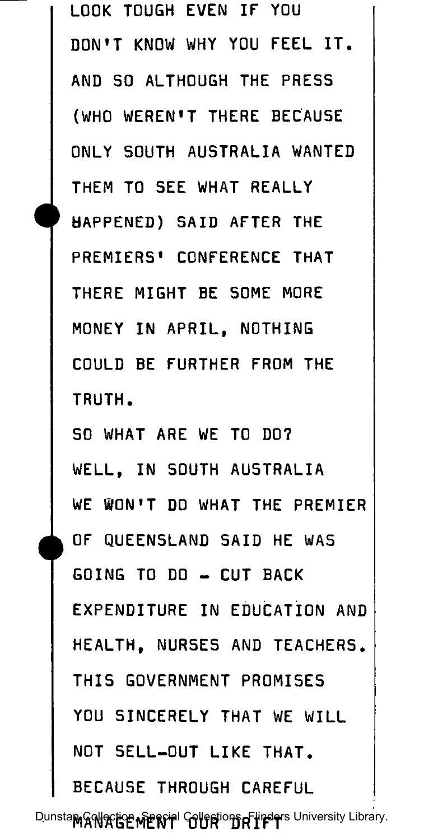**LOOK TOUGH EVEN IF YOU**  DON'T KNOW WHY YOU FEEL IT. **AND SO ALTHOUGH THE PRESS (WHO WEREN'T THERE BECAUSE ONLY SOUTH AUSTRALIA WANTED THEM TO SEE WHAT REALLY HAPPENED) SAID AFTER THE PREMIERS' CONFERENCE THAT THERE MIGHT BE SOME MORE MONEY IN APRIL , NOTHING COULD BE FURTHER FROM THE TRUTH. SO WHAT ARE WE TO DO? WELL, IN SOUTH AUSTRALIA WE BON'T DO WHAT THE PREMIER OF QUEENSLAND SAID HE WAS GOING TO DO - CUT BACK EXPENDITURE IN EDUCATION AND HEALTH, NURSES AND TEACHERS. THIS GOVERNMENT PROMISES YOU SINCERELY THAT WE WILL NOT SELL-OUT LIKE THAT. BECAUSE THROUGH CAREFUL**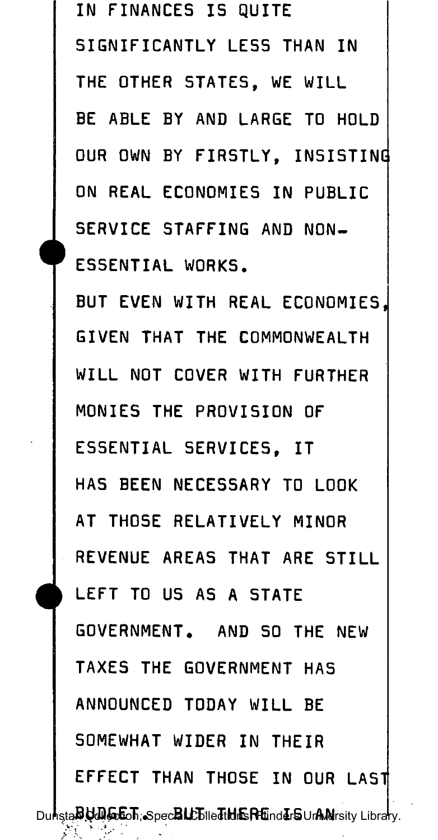**IN FINANCES IS QUITE SIGNIFICANTLY LESS THAN IN THE OTHER 5TATES , WE WILL BE ABLE BY AND LARGE TO HOLD OUR OWN BY FIRSTLY , INSISTING ON REAL ECONOMIES IN PUBLIC**  SERVICE STAFFING AND NON-**ESSENTIAL WORKS. BUT EVEN WITH REAL ECONOMIES, GIVEN THAT THE COMMONWEALTH WILL NOT COVER WITH FURTHER MONIES THE PROVISION OF ESSENTIAL SERVICES , IT HAS BEEN NECESSARY TO LOOK AT THOSE RELATIVELY MINOR REVENUE AREAS THAT ARE STILL LEFT TO US AS A STATE GOVERNMENT. AND SO THE NEW TAXES THE GOVERNMENT HAS ANNOUNCED TODAY WILL BE SOMEWHAT WIDER IN THEIR EFFECT THAN THOSE IN OUR LAST Dunstan Udioton, Spec<b>e LL**E leditor The Current Constructions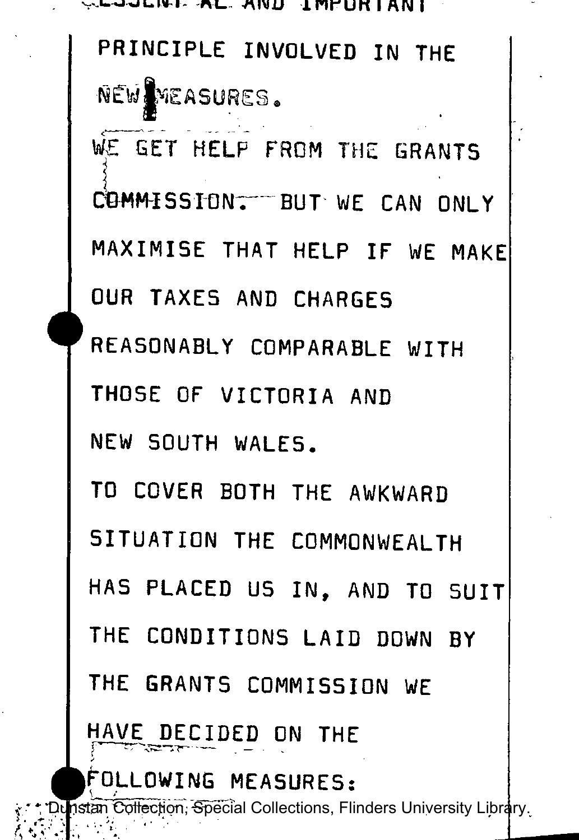SSSSSPIERE AL AND IMPORTANT PRINCIPLE INVOLVED IN THE NEW MEASURES. WE GET HELP FROM THE GRANTS COMMISSION. BUT WE CAN ONLY MAXIMISE THAT HELP IF WE MAKE OUR TAXES AND CHARGES REASONABLY COMPARABLE WITH THOSE OF VICTORIA AND NEW SOUTH WALES. TO COVER BOTH THE AWKWARD SITUATION THE COMMONWEALTH HAS PLACED US IN. AND TO SUIT THE CONDITIONS LAID DOWN BY THE GRANTS COMMISSION WE HAVE DECIDED ON THE FOLLOWING MEASURES:

्र \* \* "Dunstan Collection; Special Collections, Flinders University Library.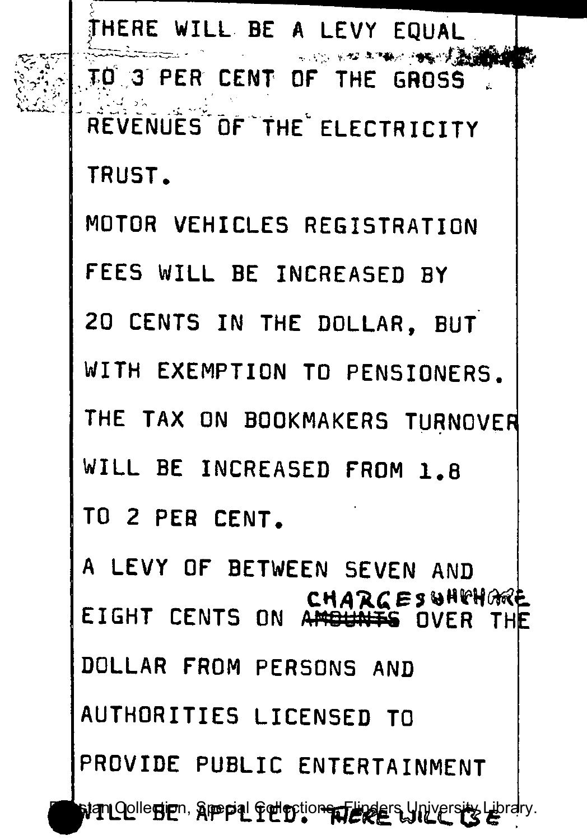**fHERE WILL BE A LEVY EQUAL | TO 3 PER CENT OF THE GROSS**  REVENUES OF THE ELECTRICITY **TRUST. MOTOR VEHICLES REGISTRATION FEES WILL BE INCREASED BY 20 CENTS IN THE DOLLAR, BUT WITH EXEMPTION TO PENSIONERS.**  THE TAX ON BOOKMAKERS TURNOVER **WILL BE INCREASED FROM 1. 8 TO 2 PER CENT. A LEVY OF BETWEEN SEVEN AND CHARGESWHTHOME**<br>EIGHT CENTS ON ANGUNTS OVER THE **EIGHT CENTS ON AttftttfffiS OVER TH AUTHORITIES LICENSED TO Dunian Qollection, Special Collections, Flinders University Library.** 

البياجي<br>البياني

**^tflL L BE APPLIED . Uiu . £**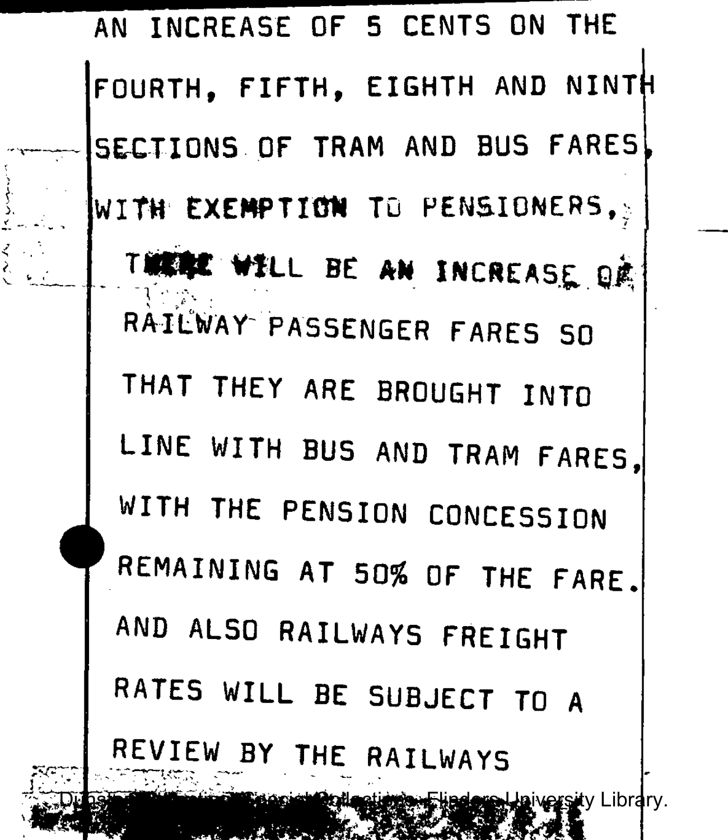**AN INCREASE OF 5 CENTS ON THE FOURTH, FIFTH , EIGHTH AND NINT i SECTIONS OF TRAM AND BUS FARES WITH EXEMPTION TO PENSIONERS TIGHT WILL BE AN INCREASE QR RAILWAY PASSENGER FARES SO THAT THEY ARE BROUGHT INTO**  LINE WITH BUS AND TRAM FARES, **WITH THE PENSION CONCESSION REMAINING AT 50% OF THE FARE . AND ALSO RAILWAYS FREIGHT RATES WILL BE SUBJECT TO A REVIEW BY THE RAILWAYS**  sity Library.

 $\sum_{i=1}^n \frac{1}{i} \sum_{j=1}^n \frac{1}{j}$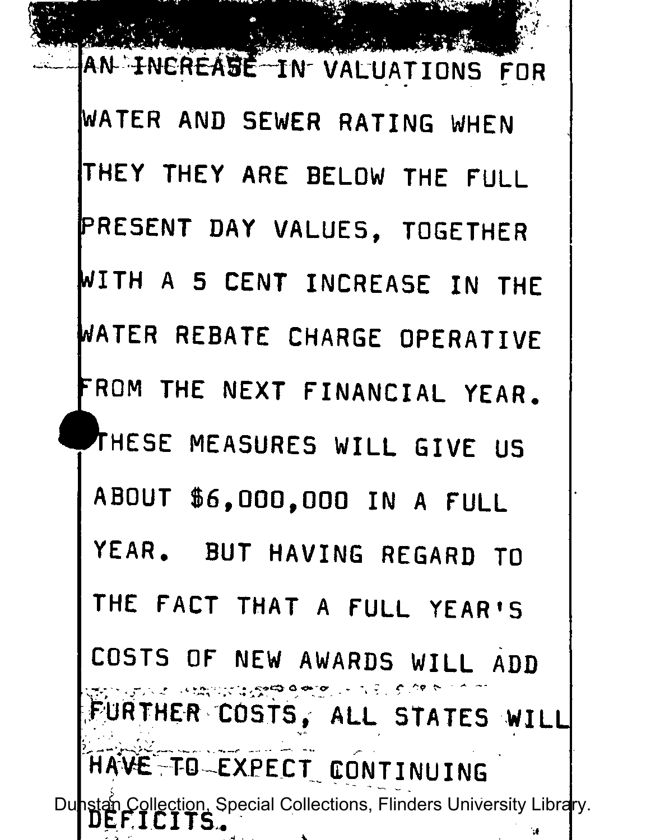**AN INEREASE IN VALUATIONS FOR WATER AND SEWER RATING WHEN THEY THEY ARE BELOW THE FULL PRESENT DAY VALUES, TOGETHER WITH A 5 CENT INCREASE IN THE ft/ATER REBATE CHARGE OPERATIVE <sup>r</sup>ROM THE NEXT FINANCIAL YEAR. ^THESE MEASURES WILL GIVE US ABOUT \$6,000,00 0 IN A FULL YEAR. BUT HAVING REGARD TO THE FACT THAT A FULL YEAR'S COSTS OF NEW AWARDS WILL ADD**  FURTHER COSTS, ALL STATES WILL **HAVE"TO-EXPECT CONTINUING**  Dunstan Collection, Special Collections, Flinders University Library.<br> **DEFTCITS**